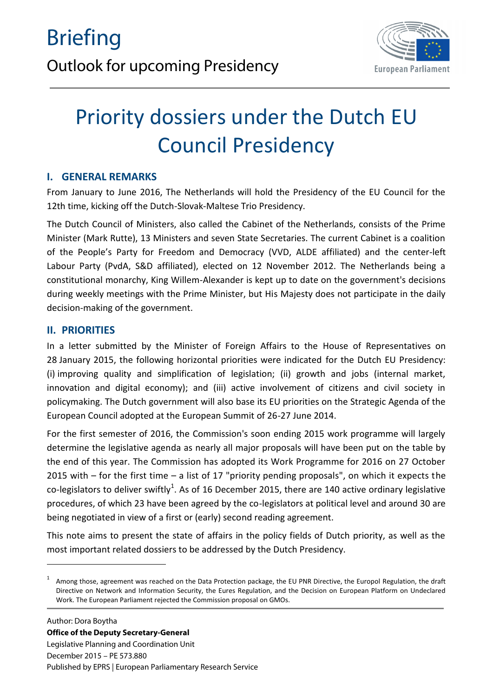

# Priority dossiers under the Dutch EU Council Presidency

# **I. GENERAL REMARKS**

From January to June 2016, The Netherlands will hold the Presidency of the EU Council for the 12th time, kicking off the Dutch-Slovak-Maltese Trio Presidency.

The Dutch Council of Ministers, also called the Cabinet of the Netherlands, consists of the Prime Minister (Mark Rutte), 13 Ministers and seven State Secretaries. The current Cabinet is a coalition of the People's Party for Freedom and Democracy (VVD, ALDE affiliated) and the center-left Labour Party (PvdA, S&D affiliated), elected on 12 November 2012. The Netherlands being a constitutional monarchy, King Willem-Alexander is kept up to date on the government's decisions during weekly meetings with the Prime Minister, but His Majesty does not participate in the daily decision-making of the government.

# **II. PRIORITIES**

In a letter submitted by the Minister of Foreign Affairs to the House of Representatives on 28 January 2015, the following horizontal priorities were indicated for the Dutch EU Presidency: (i) improving quality and simplification of legislation; (ii) growth and jobs (internal market, innovation and digital economy); and (iii) active involvement of citizens and civil society in policymaking. The Dutch government will also base its EU priorities on the Strategic Agenda of the European Council adopted at the European Summit of 26-27 June 2014.

For the first semester of 2016, the Commission's soon ending 2015 work programme will largely determine the legislative agenda as nearly all major proposals will have been put on the table by the end of this year. The Commission has adopted its Work Programme for 2016 on 27 October 2015 with – for the first time – a list of 17 "priority pending proposals", on which it expects the co-legislators to deliver swiftly<sup>1</sup>. As of 16 December 2015, there are 140 active ordinary legislative procedures, of which 23 have been agreed by the co-legislators at political level and around 30 are being negotiated in view of a first or (early) second reading agreement.

This note aims to present the state of affairs in the policy fields of Dutch priority, as well as the most important related dossiers to be addressed by the Dutch Presidency.

<sup>1</sup> Among those, agreement was reached on the Data Protection package, the EU PNR Directive, the Europol Regulation, the draft Directive on Network and Information Security, the Eures Regulation, and the Decision on European Platform on Undeclared Work. The European Parliament rejected the Commission proposal on GMOs.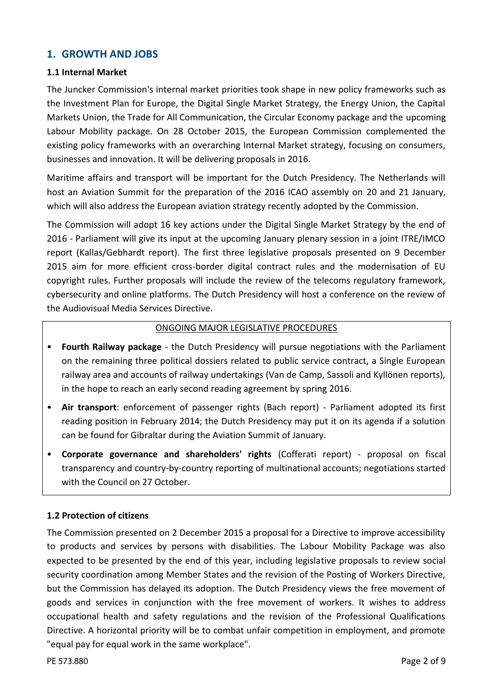# **1. GROWTH AND JOBS**

#### **1.1 Internal Market**

The Juncker Commission's internal market priorities took shape in new policy frameworks such as the Investment Plan for Europe, the Digital Single Market Strategy, the Energy Union, the Capital Markets Union, the Trade for All Communication, the Circular Economy package and the upcoming Labour Mobility package. On 28 October 2015, the European Commission complemented the existing policy frameworks with an overarching Internal Market strategy, focusing on consumers, businesses and innovation. It will be delivering proposals in 2016.

Maritime affairs and transport will be important for the Dutch Presidency. The Netherlands will host an Aviation Summit for the preparation of the 2016 ICAO assembly on 20 and 21 January, which will also address the European aviation strategy recently adopted by the Commission.

The Commission will adopt 16 key actions under the Digital Single Market Strategy by the end of 2016 - Parliament will give its input at the upcoming January plenary session in a joint ITRE/IMCO report (Kallas/Gebhardt report). The first three legislative proposals presented on 9 December 2015 aim for more efficient cross-border digital contract rules and the modernisation of EU copyright rules. Further proposals will include the review of the telecoms regulatory framework, cybersecurity and online platforms. The Dutch Presidency will host a conference on the review of the Audiovisual Media Services Directive.

#### ONGOING MAJOR LEGISLATIVE PROCEDURES

- **Fourth Railway package** the Dutch Presidency will pursue negotiations with the Parliament on the remaining three political dossiers related to public service contract, a Single European railway area and accounts of railway undertakings (Van de Camp, Sassoli and Kyllönen reports), in the hope to reach an early second reading agreement by spring 2016.
- **Air transport**: enforcement of passenger rights (Bach report) Parliament adopted its first reading position in February 2014; the Dutch Presidency may put it on its agenda if a solution can be found for Gibraltar during the Aviation Summit of January.
- **Corporate governance and shareholders' rights** (Cofferati report) proposal on fiscal transparency and country-by-country reporting of multinational accounts; negotiations started with the Council on 27 October.

## **1.2 Protection of citizens**

The Commission presented on 2 December 2015 a proposal for a Directive to improve accessibility to products and services by persons with disabilities. The Labour Mobility Package was also expected to be presented by the end of this year, including legislative proposals to review social security coordination among Member States and the revision of the Posting of Workers Directive, but the Commission has delayed its adoption. The Dutch Presidency views the free movement of goods and services in conjunction with the free movement of workers. It wishes to address occupational health and safety regulations and the revision of the Professional Qualifications Directive. A horizontal priority will be to combat unfair competition in employment, and promote "equal pay for equal work in the same workplace".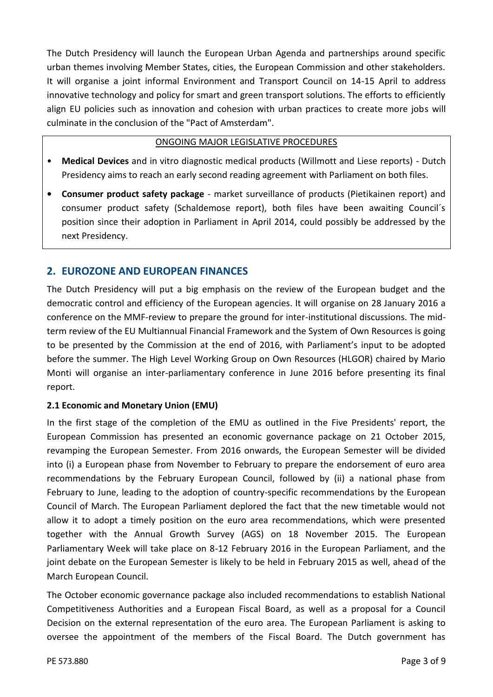The Dutch Presidency will launch the European Urban Agenda and partnerships around specific urban themes involving Member States, cities, the European Commission and other stakeholders. It will organise a joint informal Environment and Transport Council on 14-15 April to address innovative technology and policy for smart and green transport solutions. The efforts to efficiently align EU policies such as innovation and cohesion with urban practices to create more jobs will culminate in the conclusion of the "Pact of Amsterdam".

#### ONGOING MAJOR LEGISLATIVE PROCEDURES

- **Medical Devices** and in vitro diagnostic medical products (Willmott and Liese reports) Dutch Presidency aims to reach an early second reading agreement with Parliament on both files.
- **• Consumer product safety package** market surveillance of products (Pietikainen report) and consumer product safety (Schaldemose report), both files have been awaiting Council´s position since their adoption in Parliament in April 2014, could possibly be addressed by the next Presidency.

# **2. EUROZONE AND EUROPEAN FINANCES**

The Dutch Presidency will put a big emphasis on the review of the European budget and the democratic control and efficiency of the European agencies. It will organise on 28 January 2016 a conference on the MMF-review to prepare the ground for inter-institutional discussions. The mid term review of the EU Multiannual Financial Framework and the System of Own Resources is going to be presented by the Commission at the end of 2016, with Parliament's input to be adopted before the summer. The High Level Working Group on Own Resources (HLGOR) chaired by Mario Monti will organise an inter-parliamentary conference in June 2016 before presenting its final report.

## **2.1 Economic and Monetary Union (EMU)**

In the first stage of the completion of the EMU as outlined in the Five Presidents' report, the European Commission has presented an economic governance package on 21 October 2015, revamping the European Semester. From 2016 onwards, the European Semester will be divided into (i) a European phase from November to February to prepare the endorsement of euro area recommendations by the February European Council, followed by (ii) a national phase from February to June, leading to the adoption of country-specific recommendations by the European Council of March. The European Parliament deplored the fact that the new timetable would not allow it to adopt a timely position on the euro area recommendations, which were presented together with the Annual Growth Survey (AGS) on 18 November 2015. The European Parliamentary Week will take place on 8-12 February 2016 in the European Parliament, and the joint debate on the European Semester is likely to be held in February 2015 as well, ahead of the March European Council.

The October economic governance package also included recommendations to establish National Competitiveness Authorities and a European Fiscal Board, as well as a proposal for a Council Decision on the external representation of the euro area. The European Parliament is asking to oversee the appointment of the members of the Fiscal Board. The Dutch government has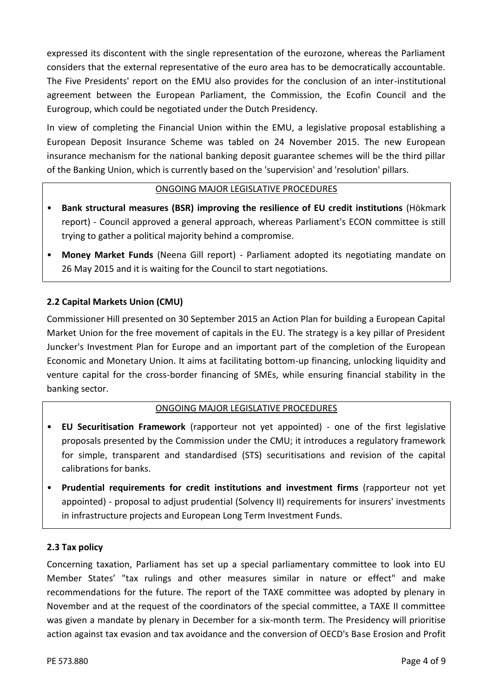expressed its discontent with the single representation of the eurozone, whereas the Parliament considers that the external representative of the euro area has to be democratically accountable. The Five Presidents' report on the EMU also provides for the conclusion of an inter-institutional agreement between the European Parliament, the Commission, the Ecofin Council and the Eurogroup, which could be negotiated under the Dutch Presidency.

In view of completing the Financial Union within the EMU, a legislative proposal establishing a European Deposit Insurance Scheme was tabled on 24 November 2015. The new European insurance mechanism for the national banking deposit guarantee schemes will be the third pillar of the Banking Union, which is currently based on the 'supervision' and 'resolution' pillars.

#### ONGOING MAJOR LEGISLATIVE PROCEDURES

- **Bank structural measures (BSR) improving the resilience of EU credit institutions** (Hökmark report) - Council approved a general approach, whereas Parliament's ECON committee is still trying to gather a political majority behind a compromise.
- **Money Market Funds** (Neena Gill report) Parliament adopted its negotiating mandate on 26 May 2015 and it is waiting for the Council to start negotiations.

# **2.2 Capital Markets Union (CMU)**

Commissioner Hill presented on 30 September 2015 an Action Plan for building a European Capital Market Union for the free movement of capitals in the EU. The strategy is a key pillar of President Juncker's Investment Plan for Europe and an important part of the completion of the European Economic and Monetary Union. It aims at facilitating bottom-up financing, unlocking liquidity and venture capital for the cross-border financing of SMEs, while ensuring financial stability in the banking sector.

## ONGOING MAJOR LEGISLATIVE PROCEDURES

- **EU Securitisation Framework** (rapporteur not yet appointed) one of the first legislative proposals presented by the Commission under the CMU; it introduces a regulatory framework for simple, transparent and standardised (STS) securitisations and revision of the capital calibrations for banks.
- **Prudential requirements for credit institutions and investment firms** (rapporteur not yet appointed) - proposal to adjust prudential (Solvency II) requirements for insurers' investments in infrastructure projects and European Long Term Investment Funds.

## **2.3 Tax policy**

Concerning taxation, Parliament has set up a special parliamentary committee to look into EU Member States' "tax rulings and other measures similar in nature or effect" and make recommendations for the future. The report of the TAXE committee was adopted by plenary in November and at the request of the coordinators of the special committee, a TAXE II committee was given a mandate by plenary in December for a six-month term. The Presidency will prioritise action against tax evasion and tax avoidance and the conversion of OECD's Base Erosion and Profit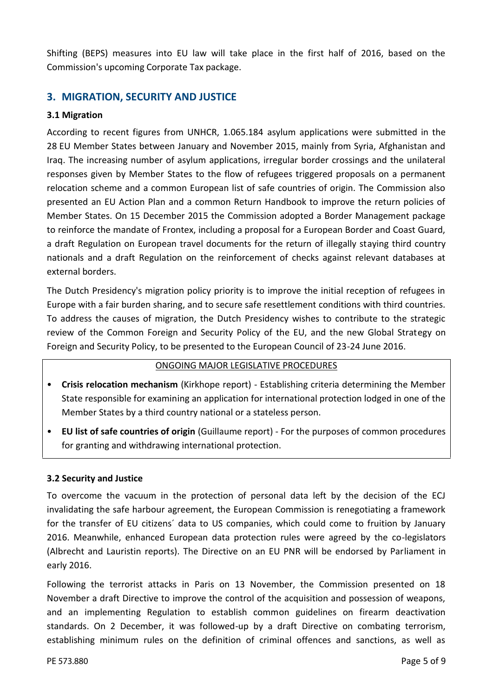Shifting (BEPS) measures into EU law will take place in the first half of 2016, based on the Commission's upcoming Corporate Tax package.

# **3. MIGRATION, SECURITY AND JUSTICE**

#### **3.1 Migration**

According to recent figures from UNHCR, 1.065.184 asylum applications were submitted in the 28 EU Member States between January and November 2015, mainly from Syria, Afghanistan and Iraq. The increasing number of asylum applications, irregular border crossings and the unilateral responses given by Member States to the flow of refugees triggered proposals on a permanent relocation scheme and a common European list of safe countries of origin. The Commission also presented an EU Action Plan and a common Return Handbook to improve the return policies of Member States. On 15 December 2015 the Commission adopted a Border Management package to reinforce the mandate of Frontex, including a proposal for a European Border and Coast Guard, a draft Regulation on European travel documents for the return of illegally staying third country nationals and a draft Regulation on the reinforcement of checks against relevant databases at external borders.

The Dutch Presidency's migration policy priority is to improve the initial reception of refugees in Europe with a fair burden sharing, and to secure safe resettlement conditions with third countries. To address the causes of migration, the Dutch Presidency wishes to contribute to the strategic review of the Common Foreign and Security Policy of the EU, and the new Global Strategy on Foreign and Security Policy, to be presented to the European Council of 23-24 June 2016.

#### ONGOING MAJOR LEGISLATIVE PROCEDURES

- **Crisis relocation mechanism** (Kirkhope report) Establishing criteria determining the Member State responsible for examining an application for international protection lodged in one of the Member States by a third country national or a stateless person.
- **EU list of safe countries of origin** (Guillaume report) For the purposes of common procedures for granting and withdrawing international protection.

#### **3.2 Security and Justice**

To overcome the vacuum in the protection of personal data left by the decision of the ECJ invalidating the safe harbour agreement, the European Commission is renegotiating a framework for the transfer of EU citizens´ data to US companies, which could come to fruition by January 2016. Meanwhile, enhanced European data protection rules were agreed by the co-legislators (Albrecht and Lauristin reports). The Directive on an EU PNR will be endorsed by Parliament in early 2016.

Following the terrorist attacks in Paris on 13 November, the Commission presented on 18 November a draft Directive to improve the control of the acquisition and possession of weapons, and an implementing Regulation to establish common guidelines on firearm deactivation standards. On 2 December, it was followed-up by a draft Directive on combating terrorism, establishing minimum rules on the definition of criminal offences and sanctions, as well as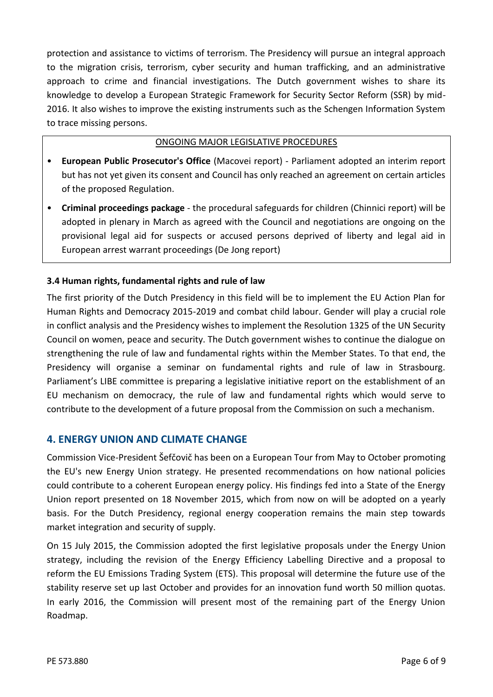protection and assistance to victims of terrorism. The Presidency will pursue an integral approach to the migration crisis, terrorism, cyber security and human trafficking, and an administrative approach to crime and financial investigations. The Dutch government wishes to share its knowledge to develop a European Strategic Framework for Security Sector Reform (SSR) by mid- 2016. It also wishes to improve the existing instruments such as the Schengen Information System to trace missing persons.

#### ONGOING MAJOR LEGISLATIVE PROCEDURES

- **European Public Prosecutor's Office** (Macovei report) Parliament adopted an interim report but has not yet given its consent and Council has only reached an agreement on certain articles of the proposed Regulation.
- **Criminal proceedings package** the procedural safeguards for children (Chinnici report) will be adopted in plenary in March as agreed with the Council and negotiations are ongoing on the provisional legal aid for suspects or accused persons deprived of liberty and legal aid in European arrest warrant proceedings (De Jong report)

## **3.4 Human rights, fundamental rights and rule of law**

The first priority of the Dutch Presidency in this field will be to implement the EU Action Plan for Human Rights and Democracy 2015-2019 and combat child labour. Gender will play a crucial role in conflict analysis and the Presidency wishes to implement the Resolution 1325 of the UN Security Council on women, peace and security. The Dutch government wishes to continue the dialogue on strengthening the rule of law and fundamental rights within the Member States. To that end, the Presidency will organise a seminar on fundamental rights and rule of law in Strasbourg. Parliament's LIBE committee is preparing a legislative initiative report on the establishment of an EU mechanism on democracy, the rule of law and fundamental rights which would serve to contribute to the development of a future proposal from the Commission on such a mechanism.

# **4. ENERGY UNION AND CLIMATE CHANGE**

Commission Vice-President Šefčovič has been on a European Tour from May to October promoting the EU's new Energy Union strategy. He presented recommendations on how national policies could contribute to a coherent European energy policy. His findings fed into a State of the Energy Union report presented on 18 November 2015, which from now on will be adopted on a yearly basis. For the Dutch Presidency, regional energy cooperation remains the main step towards market integration and security of supply.

On 15 July 2015, the Commission adopted the first legislative proposals under the Energy Union strategy, including the revision of the Energy Efficiency Labelling Directive and a proposal to reform the EU Emissions Trading System (ETS). This proposal will determine the future use of the stability reserve set up last October and provides for an innovation fund worth 50 million quotas. In early 2016, the Commission will present most of the remaining part of the Energy Union Roadmap.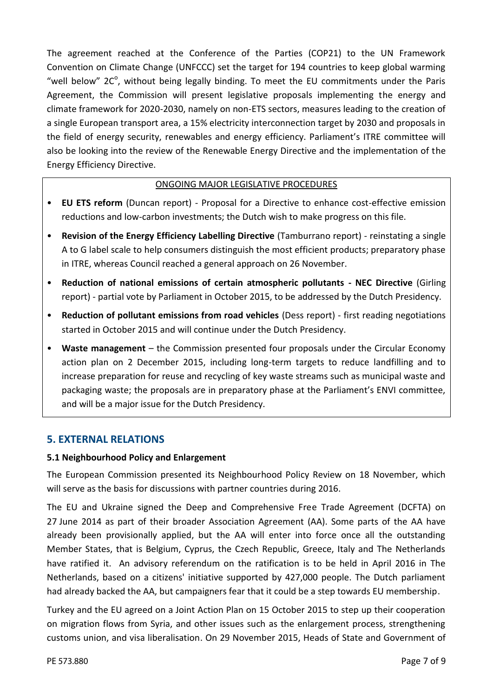The agreement reached at the Conference of the Parties (COP21) to the UN Framework Convention on Climate Change (UNFCCC) set the target for 194 countries to keep global warming "well below" 2C°, without being legally binding. To meet the EU commitments under the Paris Agreement, the Commission will present legislative proposals implementing the energy and climate framework for 2020-2030, namely on non-ETS sectors, measures leading to the creation of a single European transport area, a 15% electricity interconnection target by 2030 and proposals in the field of energy security, renewables and energy efficiency. Parliament's ITRE committee will also be looking into the review of the Renewable Energy Directive and the implementation of the Energy Efficiency Directive.

#### ONGOING MAJOR LEGISLATIVE PROCEDURES

- **EU ETS reform** (Duncan report) Proposal for a Directive to enhance cost-effective emission reductions and low-carbon investments; the Dutch wish to make progress on this file.
- **Revision of the Energy Efficiency Labelling Directive** (Tamburrano report) reinstating a single A to G label scale to help consumers distinguish the most efficient products; preparatory phase in ITRE, whereas Council reached a general approach on 26 November.
- **Reduction of national emissions of certain atmospheric pollutants -NEC Directive** (Girling report) - partial vote by Parliament in October 2015, to be addressed by the Dutch Presidency.
- **Reduction of pollutant emissions from road vehicles** (Dess report) first reading negotiations started in October 2015 and will continue under the Dutch Presidency.
- **Waste management** the Commission presented four proposals under the Circular Economy action plan on 2 December 2015, including long-term targets to reduce landfilling and to increase preparation for reuse and recycling of key waste streams such as municipal waste and packaging waste; the proposals are in preparatory phase at the Parliament's ENVI committee, and will be a major issue for the Dutch Presidency.

## **5. EXTERNAL RELATIONS**

#### **5.1 Neighbourhood Policy and Enlargement**

The European Commission presented its Neighbourhood Policy Review on 18 November, which will serve as the basis for discussions with partner countries during 2016.

The EU and Ukraine signed the Deep and Comprehensive Free Trade Agreement (DCFTA) on 27 June 2014 as part of their broader Association Agreement (AA). Some parts of the AA have already been provisionally applied, but the AA will enter into force once all the outstanding Member States, that is Belgium, Cyprus, the Czech Republic, Greece, Italy and The Netherlands have ratified it. An advisory referendum on the ratification is to be held in April 2016 in The Netherlands, based on a citizens' initiative supported by 427,000 people. The Dutch parliament had already backed the AA, but campaigners fear that it could be a step towards EU membership.

Turkey and the EU agreed on a Joint Action Plan on 15 October 2015 to step up their cooperation on migration flows from Syria, and other issues such as the enlargement process, strengthening customs union, and visa liberalisation. On 29 November 2015, Heads of State and Government of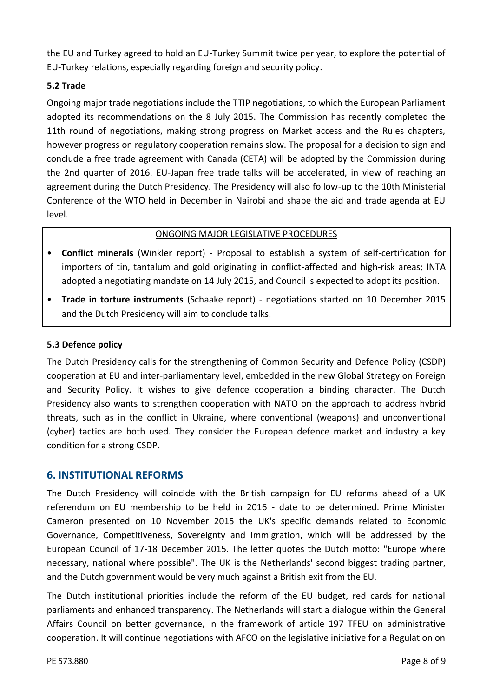the EU and Turkey agreed to hold an EU-Turkey Summit twice per year, to explore the potential of EU-Turkey relations, especially regarding foreign and security policy.

# **5.2 Trade**

Ongoing major trade negotiations include the TTIP negotiations, to which the European Parliament adopted its recommendations on the 8 July 2015. The Commission has recently completed the 11th round of negotiations, making strong progress on Market access and the Rules chapters, however progress on regulatory cooperation remains slow. The proposal for a decision to sign and conclude a free trade agreement with Canada (CETA) will be adopted by the Commission during the 2nd quarter of 2016. EU-Japan free trade talks will be accelerated, in view of reaching an agreement during the Dutch Presidency. The Presidency will also follow-up to the 10th Ministerial Conference of the WTO held in December in Nairobi and shape the aid and trade agenda at EU level.

#### ONGOING MAJOR LEGISLATIVE PROCEDURES

- **Conflict minerals** (Winkler report) Proposal to establish a system of self-certification for importers of tin, tantalum and gold originating in conflict-affected and high-risk areas; INTA adopted a negotiating mandate on 14 July 2015, and Council is expected to adopt its position.
- **Trade in torture instruments** (Schaake report) negotiations started on 10 December 2015 and the Dutch Presidency will aim to conclude talks.

## **5.3 Defence policy**

The Dutch Presidency calls for the strengthening of Common Security and Defence Policy (CSDP) cooperation at EU and inter-parliamentary level, embedded in the new Global Strategy on Foreign and Security Policy. It wishes to give defence cooperation a binding character. The Dutch Presidency also wants to strengthen cooperation with NATO on the approach to address hybrid threats, such as in the conflict in Ukraine, where conventional (weapons) and unconventional (cyber) tactics are both used. They consider the European defence market and industry a key condition for a strong CSDP.

## **6. INSTITUTIONAL REFORMS**

The Dutch Presidency will coincide with the British campaign for EU reforms ahead of a UK referendum on EU membership to be held in 2016 - date to be determined. Prime Minister Cameron presented on 10 November 2015 the UK's specific demands related to Economic Governance, Competitiveness, Sovereignty and Immigration, which will be addressed by the European Council of 17-18 December 2015. The letter quotes the Dutch motto: "Europe where necessary, national where possible". The UK is the Netherlands' second biggest trading partner, and the Dutch government would be very much against a British exit from the EU.

The Dutch institutional priorities include the reform of the EU budget, red cards for national parliaments and enhanced transparency. The Netherlands will start a dialogue within the General Affairs Council on better governance, in the framework of article 197 TFEU on administrative cooperation. It will continue negotiations with AFCO on the legislative initiative for a Regulation on